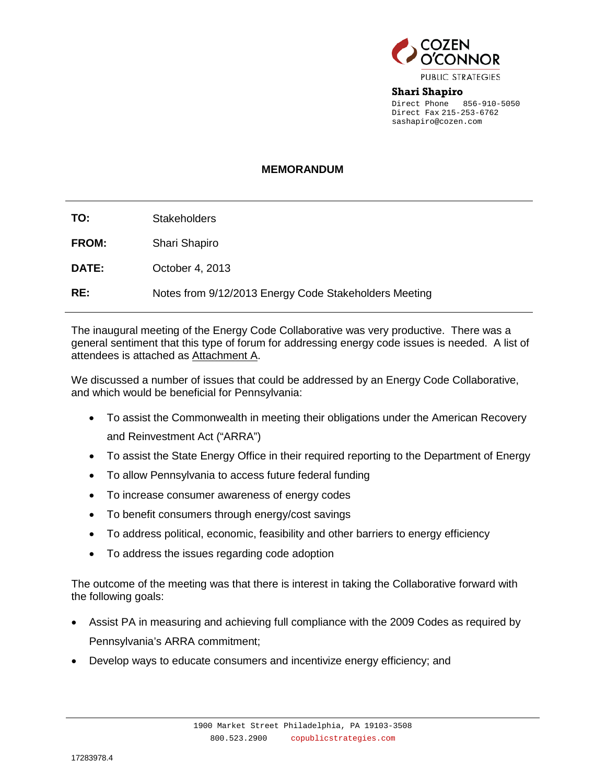

**Shari Shapiro** Direct Phone 856-910-5050 Direct Fax 215-253-6762 sashapiro@cozen.com

## **MEMORANDUM**

| TO:          | <b>Stakeholders</b>                                   |
|--------------|-------------------------------------------------------|
| <b>FROM:</b> | Shari Shapiro                                         |
| <b>DATE:</b> | October 4, 2013                                       |
| RE:          | Notes from 9/12/2013 Energy Code Stakeholders Meeting |

The inaugural meeting of the Energy Code Collaborative was very productive. There was a general sentiment that this type of forum for addressing energy code issues is needed. A list of attendees is attached as Attachment A.

We discussed a number of issues that could be addressed by an Energy Code Collaborative, and which would be beneficial for Pennsylvania:

- To assist the Commonwealth in meeting their obligations under the American Recovery and Reinvestment Act ("ARRA")
- To assist the State Energy Office in their required reporting to the Department of Energy
- To allow Pennsylvania to access future federal funding
- To increase consumer awareness of energy codes
- To benefit consumers through energy/cost savings
- To address political, economic, feasibility and other barriers to energy efficiency
- To address the issues regarding code adoption

The outcome of the meeting was that there is interest in taking the Collaborative forward with the following goals:

- Assist PA in measuring and achieving full compliance with the 2009 Codes as required by Pennsylvania's ARRA commitment;
- Develop ways to educate consumers and incentivize energy efficiency; and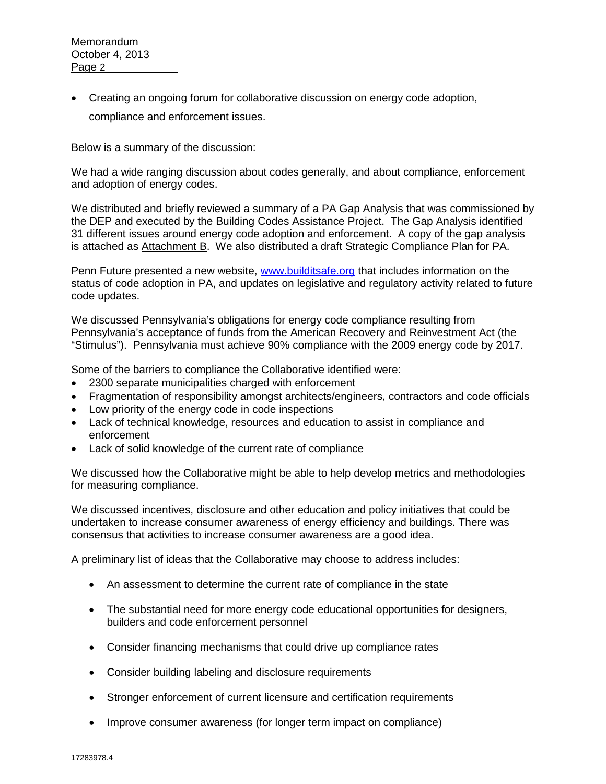• Creating an ongoing forum for collaborative discussion on energy code adoption, compliance and enforcement issues.

Below is a summary of the discussion:

We had a wide ranging discussion about codes generally, and about compliance, enforcement and adoption of energy codes.

We distributed and briefly reviewed a summary of a PA Gap Analysis that was commissioned by the DEP and executed by the Building Codes Assistance Project. The Gap Analysis identified 31 different issues around energy code adoption and enforcement. A copy of the gap analysis is attached as Attachment B. We also distributed a draft Strategic Compliance Plan for PA.

Penn Future presented a new website, [www.builditsafe.org](http://www.builditsafe.org/) that includes information on the status of code adoption in PA, and updates on legislative and regulatory activity related to future code updates.

We discussed Pennsylvania's obligations for energy code compliance resulting from Pennsylvania's acceptance of funds from the American Recovery and Reinvestment Act (the "Stimulus"). Pennsylvania must achieve 90% compliance with the 2009 energy code by 2017.

Some of the barriers to compliance the Collaborative identified were:

- 2300 separate municipalities charged with enforcement
- Fragmentation of responsibility amongst architects/engineers, contractors and code officials
- Low priority of the energy code in code inspections
- Lack of technical knowledge, resources and education to assist in compliance and enforcement
- Lack of solid knowledge of the current rate of compliance

We discussed how the Collaborative might be able to help develop metrics and methodologies for measuring compliance.

We discussed incentives, disclosure and other education and policy initiatives that could be undertaken to increase consumer awareness of energy efficiency and buildings. There was consensus that activities to increase consumer awareness are a good idea.

A preliminary list of ideas that the Collaborative may choose to address includes:

- An assessment to determine the current rate of compliance in the state
- The substantial need for more energy code educational opportunities for designers, builders and code enforcement personnel
- Consider financing mechanisms that could drive up compliance rates
- Consider building labeling and disclosure requirements
- Stronger enforcement of current licensure and certification requirements
- Improve consumer awareness (for longer term impact on compliance)